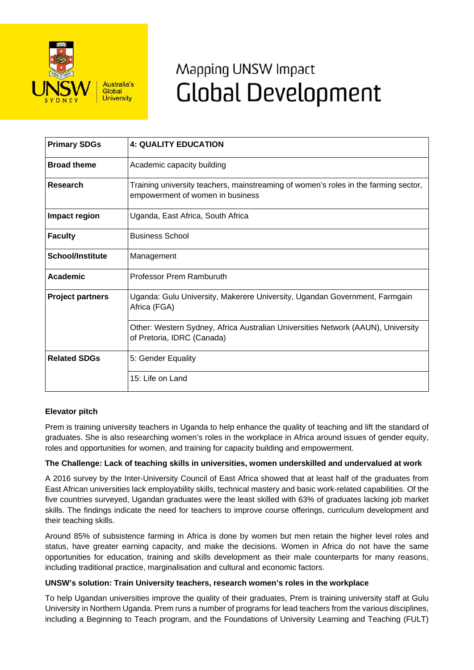

# Mapping UNSW Impact **Global Development**

| <b>Primary SDGs</b>     | <b>4: QUALITY EDUCATION</b>                                                                                             |
|-------------------------|-------------------------------------------------------------------------------------------------------------------------|
| <b>Broad theme</b>      | Academic capacity building                                                                                              |
| Research                | Training university teachers, mainstreaming of women's roles in the farming sector,<br>empowerment of women in business |
| <b>Impact region</b>    | Uganda, East Africa, South Africa                                                                                       |
| <b>Faculty</b>          | <b>Business School</b>                                                                                                  |
| <b>School/Institute</b> | Management                                                                                                              |
| Academic                | Professor Prem Ramburuth                                                                                                |
| <b>Project partners</b> | Uganda: Gulu University, Makerere University, Ugandan Government, Farmgain<br>Africa (FGA)                              |
|                         | Other: Western Sydney, Africa Australian Universities Network (AAUN), University<br>of Pretoria, IDRC (Canada)          |
| <b>Related SDGs</b>     | 5: Gender Equality                                                                                                      |
|                         | 15: Life on Land                                                                                                        |

## **Elevator pitch**

Prem is training university teachers in Uganda to help enhance the quality of teaching and lift the standard of graduates. She is also researching women's roles in the workplace in Africa around issues of gender equity, roles and opportunities for women, and training for capacity building and empowerment.

#### **The Challenge: Lack of teaching skills in universities, women underskilled and undervalued at work**

A 2016 survey by the Inter-University Council of East Africa showed that at least half of the graduates from East African universities lack employability skills, technical mastery and basic work-related capabilities. Of the five countries surveyed, Ugandan graduates were the least skilled with 63% of graduates lacking job market skills. The findings indicate the need for teachers to improve course offerings, curriculum development and their teaching skills.

Around 85% of subsistence farming in Africa is done by women but men retain the higher level roles and status, have greater earning capacity, and make the decisions. Women in Africa do not have the same opportunities for education, training and skills development as their male counterparts for many reasons, including traditional practice, marginalisation and cultural and economic factors.

#### **UNSW's solution: Train University teachers, research women's roles in the workplace**

To help Ugandan universities improve the quality of their graduates, Prem is training university staff at Gulu University in Northern Uganda. Prem runs a number of programs for lead teachers from the various disciplines, including a Beginning to Teach program, and the Foundations of University Learning and Teaching (FULT)